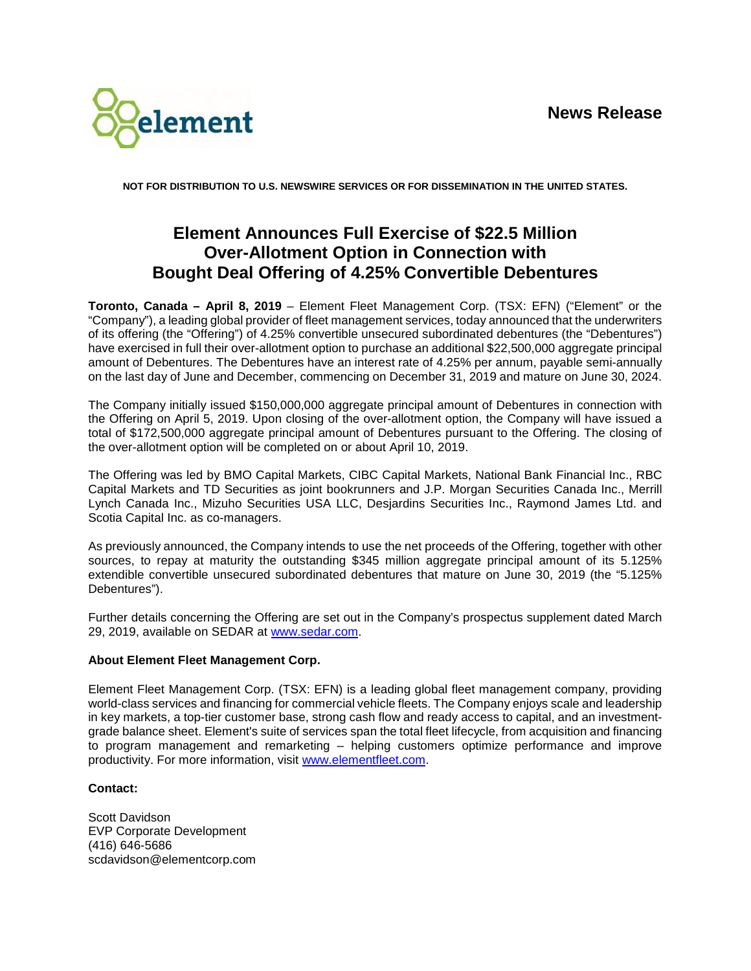

**NOT FOR DISTRIBUTION TO U.S. NEWSWIRE SERVICES OR FOR DISSEMINATION IN THE UNITED STATES.** 

## **Element Announces Full Exercise of \$22.5 Million Over-Allotment Option in Connection with Bought Deal Offering of 4.25% Convertible Debentures**

**Toronto, Canada – April 8, 2019** – Element Fleet Management Corp. (TSX: EFN) ("Element" or the "Company"), a leading global provider of fleet management services, today announced that the underwriters of its offering (the "Offering") of 4.25% convertible unsecured subordinated debentures (the "Debentures") have exercised in full their over-allotment option to purchase an additional \$22,500,000 aggregate principal amount of Debentures. The Debentures have an interest rate of 4.25% per annum, payable semi-annually on the last day of June and December, commencing on December 31, 2019 and mature on June 30, 2024.

The Company initially issued \$150,000,000 aggregate principal amount of Debentures in connection with the Offering on April 5, 2019. Upon closing of the over-allotment option, the Company will have issued a total of \$172,500,000 aggregate principal amount of Debentures pursuant to the Offering. The closing of the over-allotment option will be completed on or about April 10, 2019.

The Offering was led by BMO Capital Markets, CIBC Capital Markets, National Bank Financial Inc., RBC Capital Markets and TD Securities as joint bookrunners and J.P. Morgan Securities Canada Inc., Merrill Lynch Canada Inc., Mizuho Securities USA LLC, Desjardins Securities Inc., Raymond James Ltd. and Scotia Capital Inc. as co-managers.

As previously announced, the Company intends to use the net proceeds of the Offering, together with other sources, to repay at maturity the outstanding \$345 million aggregate principal amount of its 5.125% extendible convertible unsecured subordinated debentures that mature on June 30, 2019 (the "5.125% Debentures").

Further details concerning the Offering are set out in the Company's prospectus supplement dated March 29, 2019, available on SEDAR at www.sedar.com.

## **About Element Fleet Management Corp.**

Element Fleet Management Corp. (TSX: EFN) is a leading global fleet management company, providing world-class services and financing for commercial vehicle fleets. The Company enjoys scale and leadership in key markets, a top-tier customer base, strong cash flow and ready access to capital, and an investmentgrade balance sheet. Element's suite of services span the total fleet lifecycle, from acquisition and financing to program management and remarketing – helping customers optimize performance and improve productivity. For more information, visit www.elementfleet.com.

## **Contact:**

Scott Davidson EVP Corporate Development (416) 646-5686 scdavidson@elementcorp.com